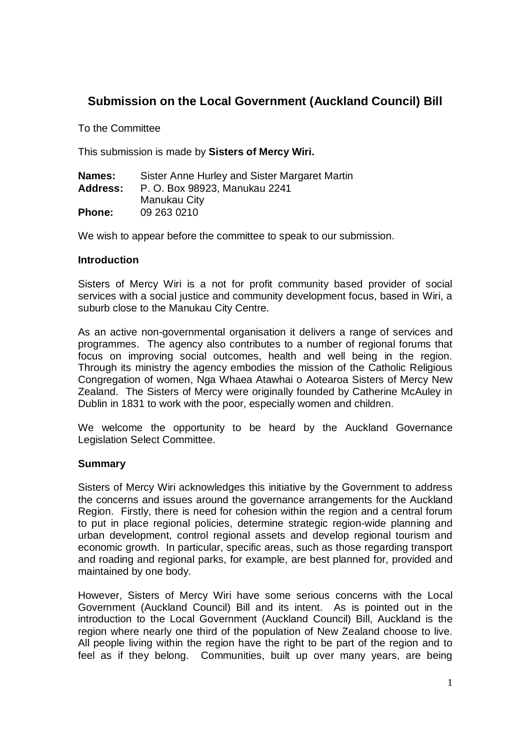# **Submission on the Local Government (Auckland Council) Bill**

To the Committee

This submission is made by **Sisters of Mercy Wiri.**

| Names:        | Sister Anne Hurley and Sister Margaret Martin |
|---------------|-----------------------------------------------|
| Address:      | P. O. Box 98923, Manukau 2241                 |
|               | Manukau City                                  |
| <b>Phone:</b> | 09 263 0210                                   |

We wish to appear before the committee to speak to our submission.

### **Introduction**

Sisters of Mercy Wiri is a not for profit community based provider of social services with a social justice and community development focus, based in Wiri, a suburb close to the Manukau City Centre.

As an active non-governmental organisation it delivers a range of services and programmes. The agency also contributes to a number of regional forums that focus on improving social outcomes, health and well being in the region. Through its ministry the agency embodies the mission of the Catholic Religious Congregation of women, Nga Whaea Atawhai o Aotearoa Sisters of Mercy New Zealand. The Sisters of Mercy were originally founded by Catherine McAuley in Dublin in 1831 to work with the poor, especially women and children.

We welcome the opportunity to be heard by the Auckland Governance Legislation Select Committee.

#### **Summary**

Sisters of Mercy Wiri acknowledges this initiative by the Government to address the concerns and issues around the governance arrangements for the Auckland Region. Firstly, there is need for cohesion within the region and a central forum to put in place regional policies, determine strategic region-wide planning and urban development, control regional assets and develop regional tourism and economic growth. In particular, specific areas, such as those regarding transport and roading and regional parks, for example, are best planned for, provided and maintained by one body.

However, Sisters of Mercy Wiri have some serious concerns with the Local Government (Auckland Council) Bill and its intent. As is pointed out in the introduction to the Local Government (Auckland Council) Bill, Auckland is the region where nearly one third of the population of New Zealand choose to live. All people living within the region have the right to be part of the region and to feel as if they belong. Communities, built up over many years, are being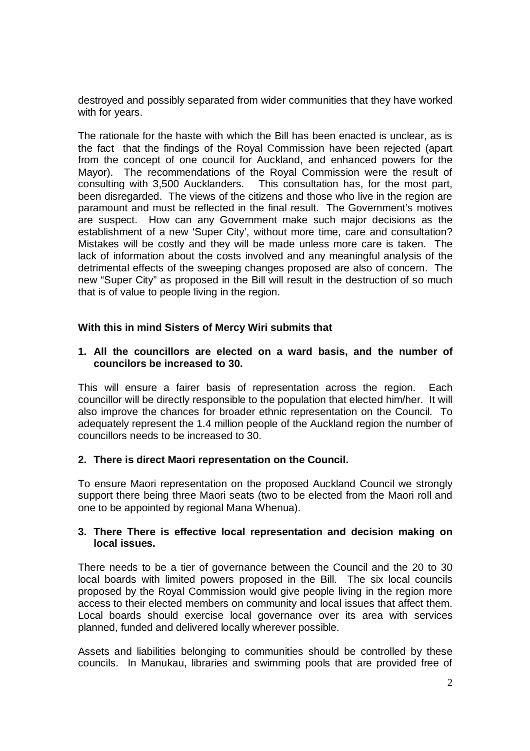destroyed and possibly separated from wider communities that they have worked with for years.

The rationale for the haste with which the Bill has been enacted is unclear, as is the fact that the findings of the Royal Commission have been rejected (apart from the concept of one council for Auckland, and enhanced powers for the Mayor). The recommendations of the Royal Commission were the result of consulting with 3,500 Aucklanders. This consultation has, for the most part, been disregarded. The views of the citizens and those who live in the region are paramount and must be reflected in the final result. The Government's motives are suspect. How can any Government make such major decisions as the establishment of a new 'Super City', without more time, care and consultation? Mistakes will be costly and they will be made unless more care is taken. The lack of information about the costs involved and any meaningful analysis of the detrimental effects of the sweeping changes proposed are also of concern. The new "Super City" as proposed in the Bill will result in the destruction of so much that is of value to people living in the region.

# **With this in mind Sisters of Mercy Wiri submits that**

### **1. All the councillors are elected on a ward basis, and the number of councilors be increased to 30.**

This will ensure a fairer basis of representation across the region. Each councillor will be directly responsible to the population that elected him/her. It will also improve the chances for broader ethnic representation on the Council. To adequately represent the 1.4 million people of the Auckland region the number of councillors needs to be increased to 30.

#### **2. There is direct Maori representation on the Council.**

To ensure Maori representation on the proposed Auckland Council we strongly support there being three Maori seats (two to be elected from the Maori roll and one to be appointed by regional Mana Whenua).

### **3. There There is effective local representation and decision making on local issues.**

There needs to be a tier of governance between the Council and the 20 to 30 local boards with limited powers proposed in the Bill. The six local councils proposed by the Royal Commission would give people living in the region more access to their elected members on community and local issues that affect them. Local boards should exercise local governance over its area with services planned, funded and delivered locally wherever possible.

Assets and liabilities belonging to communities should be controlled by these councils. In Manukau, libraries and swimming pools that are provided free of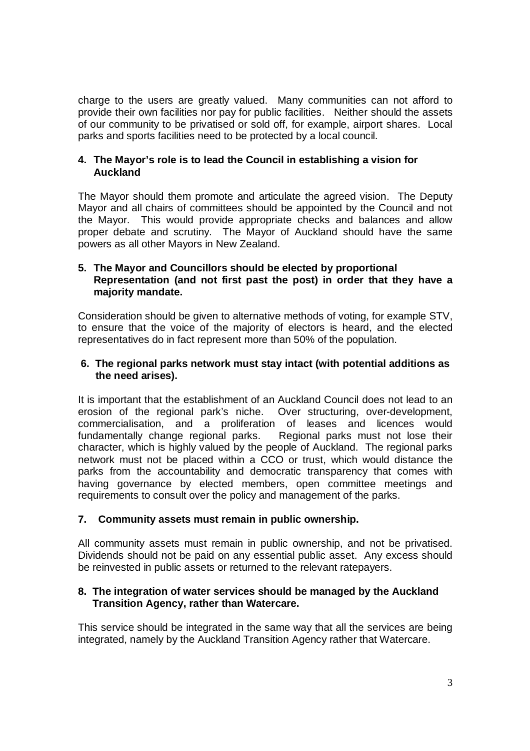charge to the users are greatly valued. Many communities can not afford to provide their own facilities nor pay for public facilities. Neither should the assets of our community to be privatised or sold off, for example, airport shares. Local parks and sports facilities need to be protected by a local council.

## **4. The Mayor's role is to lead the Council in establishing a vision for Auckland**

The Mayor should them promote and articulate the agreed vision. The Deputy Mayor and all chairs of committees should be appointed by the Council and not the Mayor. This would provide appropriate checks and balances and allow proper debate and scrutiny. The Mayor of Auckland should have the same powers as all other Mayors in New Zealand.

## **5. The Mayor and Councillors should be elected by proportional Representation (and not first past the post) in order that they have a majority mandate.**

Consideration should be given to alternative methods of voting, for example STV, to ensure that the voice of the majority of electors is heard, and the elected representatives do in fact represent more than 50% of the population.

### **6. The regional parks network must stay intact (with potential additions as the need arises).**

It is important that the establishment of an Auckland Council does not lead to an erosion of the regional park's niche. Over structuring, over-development, commercialisation, and a proliferation of leases and licences would fundamentally change regional parks. Regional parks must not lose their character, which is highly valued by the people of Auckland. The regional parks network must not be placed within a CCO or trust, which would distance the parks from the accountability and democratic transparency that comes with having governance by elected members, open committee meetings and requirements to consult over the policy and management of the parks.

# **7. Community assets must remain in public ownership.**

All community assets must remain in public ownership, and not be privatised. Dividends should not be paid on any essential public asset. Any excess should be reinvested in public assets or returned to the relevant ratepayers.

### **8. The integration of water services should be managed by the Auckland Transition Agency, rather than Watercare.**

This service should be integrated in the same way that all the services are being integrated, namely by the Auckland Transition Agency rather that Watercare.